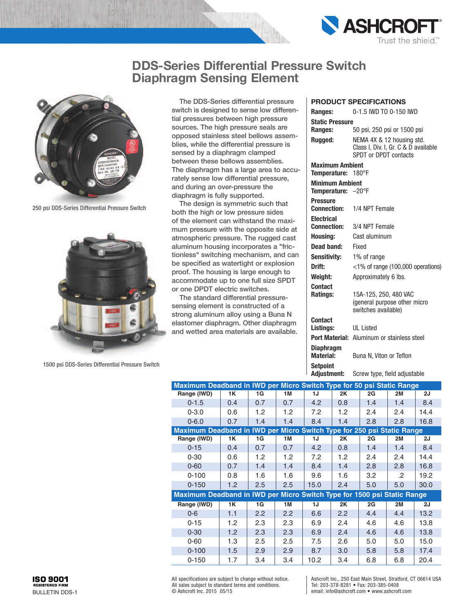



250 psi DDS-Series Differential Pressure Switch



1500 psi DDS-Series Differential Pressure Switch

The DDS-Series differential pressure switch is designed to sense low differential pressures between high pressure sources. The high pressure seals are opposed stainless steel bellows assemblies, while the differential pressure is sensed by a diaphragm clamped between these bellows assemblies. The diaphragm has a large area to accurately sense low differential pressure, and during an over-pressure the diaphragm is fully supported.

The design is symmetric such that both the high or low pressure sides of the element can withstand the maximum pressure with the opposite side at atmospheric pressure. The rugged cast aluminum housing incorporates a "frictionless" switching mechanism, and can be specified as watertight or explosion proof. The housing is large enough to accommodate up to one full size SPDT or one DPDT electric switches.

The standard differential pressuresensing element is constructed of a strong aluminum alloy using a Buna N elastomer diaphragm. Other diaphragm and wetted area materials are available.

#### **product SpecificationS**

| Ranges:                               | 0-1.5 IWD TO 0-150 IWD                                                                     |
|---------------------------------------|--------------------------------------------------------------------------------------------|
| <b>Static Pressure</b>                |                                                                                            |
| Ranges:                               | 50 psi, 250 psi or 1500 psi                                                                |
| <b>Rugged:</b>                        | NEMA 4X & 12 housing std.<br>Class I, Div. I, Gr. C & D available<br>SPDT or DPDT contacts |
| <b>Maximum Ambient</b>                |                                                                                            |
| Temperature:                          | 180°F                                                                                      |
| <b>Minimum Ambient</b>                |                                                                                            |
| <b>Temperature:</b> $-20^{\circ}$ F   |                                                                                            |
| <b>Pressure</b><br><b>Connection:</b> | 1/4 NPT Female                                                                             |
| Electrical                            |                                                                                            |
| <b>Connection:</b>                    | 3/4 NPT Female                                                                             |
| Housing:                              | Cast aluminum                                                                              |
| Dead band:                            | Fixed                                                                                      |
| Sensitivitv:                          | 1% of range                                                                                |
| Drift:                                | <1% of range (100,000 operations)                                                          |
| Weiaht:                               | Approximately 6 lbs.                                                                       |
| Contact                               |                                                                                            |
| Ratings:                              | 15A-125, 250, 480 VAC                                                                      |
|                                       | (general purpose other micro<br>switches available)                                        |
| Contact                               |                                                                                            |
| Listings:                             | UI Listed                                                                                  |
| Port Material:                        | Aluminum or stainless steel                                                                |
| Diaphragm<br>Material:                | Buna N, Viton or Teflon                                                                    |
| Setpoint<br>Adjustment:               | Screw type, field adjustable                                                               |
|                                       |                                                                                            |

| Maximum Deadband in IWD per Micro Switch Type for 50 psi Static Range   |     |                  |                  |                   |     |     |           |      |
|-------------------------------------------------------------------------|-----|------------------|------------------|-------------------|-----|-----|-----------|------|
| Range (IWD)                                                             | 1K  | 1G               | 1M               | 1J                | 2K  | 2G  | 2M        | 2J   |
| $0 - 1.5$                                                               | 0.4 | 0.7              | 0.7              | 4.2               | 0.8 | 1.4 | 1.4       | 8.4  |
| $0 - 3.0$                                                               | 0.6 | 1.2 <sub>1</sub> | 1.2 <sub>1</sub> | 7.2               | 1.2 | 2.4 | 2.4       | 14.4 |
| $0 - 6.0$                                                               | 0.7 | 1.4              | 1.4              | 8.4               | 1.4 | 2.8 | 2.8       | 16.8 |
| Maximum Deadband in IWD per Micro Switch Type for 250 psi Static Range  |     |                  |                  |                   |     |     |           |      |
| Range (IWD)                                                             | 1K  | 1G               | 1M               | 1J                | 2K  | 2G  | 2M        | 2J   |
| $0 - 15$                                                                | 0.4 | 0.7              | 0.7              | 4.2               | 0.8 | 1.4 | 1.4       | 8.4  |
| $0 - 30$                                                                | 0.6 | 1.2 <sub>1</sub> | 1.2 <sub>2</sub> | 7.2               | 1.2 | 2.4 | 2.4       | 14.4 |
| $0 - 60$                                                                | 0.7 | 1.4              | 1.4              | 8.4               | 1.4 | 2.8 | 2.8       | 16.8 |
| $0 - 100$                                                               | 0.8 | 1.6              | 1.6              | 9.6               | 1.6 | 3.2 | .2        | 19.2 |
| $0 - 150$                                                               | 1.2 | 2.5              | 2.5              | 15.0              | 2.4 | 5.0 | 5.0       | 30.0 |
| Maximum Deadband in IWD per Micro Switch Type for 1500 psi Static Range |     |                  |                  |                   |     |     |           |      |
| Range (IWD)                                                             | 1K  | 1G               | 1M               | 1J                | 2K  | 2G  | <b>2M</b> | 2J   |
| $0 - 6$                                                                 | 1.1 | $2.2^{\circ}$    | 2.2              | 6.6               | 2.2 | 4.4 | 4.4       | 13.2 |
| $0 - 15$                                                                | 1.2 | 2.3              | 2.3              | 6.9               | 2.4 | 4.6 | 4.6       | 13.8 |
| $0 - 30$                                                                | 1.2 | 2.3              | 2.3              | 6.9               | 2.4 | 4.6 | 4.6       | 13.8 |
| $0 - 60$                                                                | 1.3 | $2.5\,$          | 2.5              | 7.5               | 2.6 | 5.0 | 5.0       | 15.0 |
| $0 - 100$                                                               | 1.5 | 2.9              | 2.9              | 8.7               | 3.0 | 5.8 | 5.8       | 17.4 |
| $0 - 150$                                                               | 1.7 | 3.4              | 3.4              | 10.2 <sub>2</sub> | 3.4 | 6.8 | 6.8       | 20.4 |

All specifications are subject to change without notice. All sales subject to standard terms and conditions. © Ashcroft Inc. 2015 05/15

Ashcroft Inc., 250 East Main Street, Stratford, CT 06614 USA Tel: 203-378-8281 • Fax: 203-385-0408 email: info@ashcroft.com • www.ashcroft.com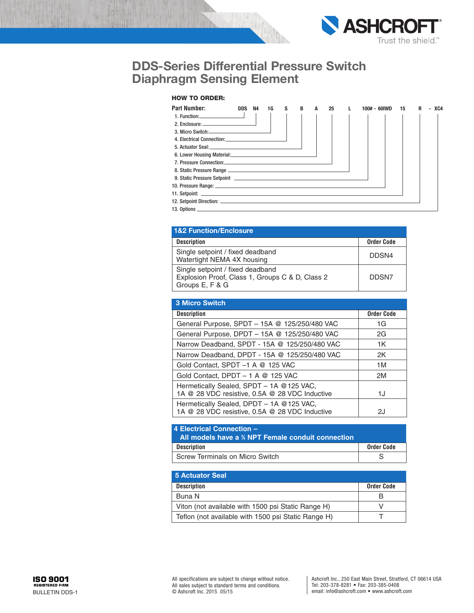

### **HOW TO ORDER:**

| <b>Part Number:</b>                                                                                                                                                                                                                  | <b>DDS</b> | N4 | 1G | S | В | A | 25 | 100# - 60IWD | 15 | R<br>٠ | XC4 |
|--------------------------------------------------------------------------------------------------------------------------------------------------------------------------------------------------------------------------------------|------------|----|----|---|---|---|----|--------------|----|--------|-----|
| 1. Function: $\qquad \qquad$                                                                                                                                                                                                         |            |    |    |   |   |   |    |              |    |        |     |
|                                                                                                                                                                                                                                      |            |    |    |   |   |   |    |              |    |        |     |
|                                                                                                                                                                                                                                      |            |    |    |   |   |   |    |              |    |        |     |
| 4. Electrical Connection: <b>All any of the Connection</b>                                                                                                                                                                           |            |    |    |   |   |   |    |              |    |        |     |
| 5. Actuator Seal: Electric Contract of the Contract of the Contract of the Contract of the Contract of the Contract of the Contract of the Contract of the Contract of the Contract of the Contract of the Contract of the Con       |            |    |    |   |   |   |    |              |    |        |     |
|                                                                                                                                                                                                                                      |            |    |    |   |   |   |    |              |    |        |     |
| 7. Pressure Connection: University of the Connection of the Connection of the Connection of the Connection of the Connection of the Connection of the Connection of the Connection of the Connection of the Connection of the        |            |    |    |   |   |   |    |              |    |        |     |
|                                                                                                                                                                                                                                      |            |    |    |   |   |   |    |              |    |        |     |
| 9. Static Pressure Setpoint <b>Contract Contract Contract Contract Contract Contract Contract Contract Contract Contract Contract Contract Contract Contract Contract Contract Contract Contract Contract Contract Contract Cont</b> |            |    |    |   |   |   |    |              |    |        |     |
|                                                                                                                                                                                                                                      |            |    |    |   |   |   |    |              |    |        |     |
|                                                                                                                                                                                                                                      |            |    |    |   |   |   |    |              |    |        |     |
|                                                                                                                                                                                                                                      |            |    |    |   |   |   |    |              |    |        |     |
|                                                                                                                                                                                                                                      |            |    |    |   |   |   |    |              |    |        |     |

| <b>1&amp;2 Function/Enclosure</b>                                                                      |                   |  |  |  |
|--------------------------------------------------------------------------------------------------------|-------------------|--|--|--|
| <b>Description</b>                                                                                     | <b>Order Code</b> |  |  |  |
| Single setpoint / fixed deadband<br>Watertight NEMA 4X housing                                         | DDSN4             |  |  |  |
| Single setpoint / fixed deadband<br>Explosion Proof, Class 1, Groups C & D, Class 2<br>Groups E, F & G | DDSN7             |  |  |  |

| <b>3 Micro Switch</b>                                                                       |                   |
|---------------------------------------------------------------------------------------------|-------------------|
| <b>Description</b>                                                                          | <b>Order Code</b> |
| General Purpose, SPDT - 15A @ 125/250/480 VAC                                               | 1G                |
| General Purpose, DPDT - 15A @ 125/250/480 VAC                                               | 2G                |
| Narrow Deadband, SPDT - 15A @ 125/250/480 VAC                                               | 1K                |
| Narrow Deadband, DPDT - 15A @ 125/250/480 VAC                                               | 2K                |
| Gold Contact, SPDT -1 A @ 125 VAC                                                           | 1M                |
| Gold Contact, DPDT - 1 A @ 125 VAC                                                          | 2M                |
| Hermetically Sealed, SPDT - 1A @125 VAC,<br>1A @ 28 VDC resistive, 0.5A @ 28 VDC Inductive  | 1J                |
| Hermetically Sealed, DPDT - 1A @ 125 VAC,<br>1A @ 28 VDC resistive, 0.5A @ 28 VDC Inductive | 2J                |

## **4 Electrical Connection – All models have a <sup>3</sup> ⁄4 NPT Female conduit connection Description Order Code** Screw Terminals on Micro Switch Screw Terminals on Micro Switch Screw Screw Screw Screw Screw Screw Screw Screw Screw Screw Screw Screw Screw Screw Screw Screw Screw Screw Screw Screw Screw Screw Screw Screw Screw Screw Sc

| 5 Actuator Seal                                     |            |  |  |  |
|-----------------------------------------------------|------------|--|--|--|
| <b>Description</b>                                  | Order Code |  |  |  |
| Buna N                                              |            |  |  |  |
| Viton (not available with 1500 psi Static Range H)  |            |  |  |  |
| Teflon (not available with 1500 psi Static Range H) |            |  |  |  |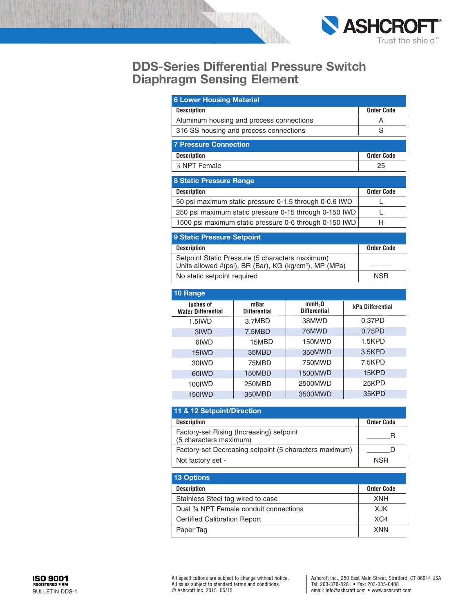

| <b>6 Lower Housing Material</b>          |                   |
|------------------------------------------|-------------------|
| <b>Description</b>                       | <b>Order Code</b> |
| Aluminum housing and process connections | Α                 |
| 316 SS housing and process connections   | S                 |
| <b>7 Pressure Connection</b>             |                   |
| <b>Description</b>                       | <b>Order Code</b> |
| 1/4 NPT Female                           | 25                |
|                                          |                   |

| <b>8 Static Pressure Range</b>                         |                   |
|--------------------------------------------------------|-------------------|
| <b>Description</b>                                     | <b>Order Code</b> |
| 50 psi maximum static pressure 0-1.5 through 0-0.6 IWD |                   |
| 250 psi maximum static pressure 0-15 through 0-150 IWD |                   |
| 1500 psi maximum static pressure 0-6 through 0-150 IWD | н                 |

| <b>9 Static Pressure Setpoint</b>                                                                                     |                   |  |  |  |
|-----------------------------------------------------------------------------------------------------------------------|-------------------|--|--|--|
| <b>Description</b>                                                                                                    | <b>Order Code</b> |  |  |  |
| Setpoint Static Pressure (5 characters maximum)<br>Units allowed #(psi), BR (Bar), KG (kg/cm <sup>2</sup> ), MP (MPa) |                   |  |  |  |
| No static setpoint required                                                                                           | <b>NSR</b>        |  |  |  |

| 10 Range                               |                             |                                           |                  |
|----------------------------------------|-----------------------------|-------------------------------------------|------------------|
| Inches of<br><b>Water Differential</b> | mBar<br><b>Differential</b> | mmH <sub>2</sub> 0<br><b>Differential</b> | kPa Differential |
| 1.5IWD                                 | 3.7MBD                      | 38MWD                                     | 0.37PD           |
| 3IWD                                   | 7.5MBD                      | 76MWD                                     | 0.75PD           |
| 6IWD                                   | 15MBD                       | 150MWD                                    | 1.5KPD           |
| 15IWD                                  | 35MBD                       | 350MWD                                    | 3.5KPD           |
| 30 IWD                                 | 75MBD                       | 750MWD                                    | 7.5KPD           |
| 60IWD                                  | 150MBD                      | 1500MWD                                   | 15KPD            |
| 100IWD                                 | 250MBD                      | 2500MWD                                   | 25KPD            |
| 150IWD                                 | 350MBD                      | 3500MWD                                   | 35KPD            |
|                                        |                             |                                           |                  |

| 11 & 12 Setpoint/Direction                                         |                   |  |  |  |
|--------------------------------------------------------------------|-------------------|--|--|--|
| <b>Description</b>                                                 | <b>Order Code</b> |  |  |  |
| Factory-set Rising (Increasing) setpoint<br>(5 characters maximum) | Е                 |  |  |  |
| Factory-set Decreasing setpoint (5 characters maximum)             |                   |  |  |  |
| Not factory set -                                                  | <b>NSR</b>        |  |  |  |

| <b>13 Options</b>                      |                   |
|----------------------------------------|-------------------|
| <b>Description</b>                     | <b>Order Code</b> |
| Stainless Steel tag wired to case      | <b>XNH</b>        |
| Dual 34 NPT Female conduit connections | X.JK              |
| <b>Certified Calibration Report</b>    | XC4               |
| Paper Tag                              | <b>XNN</b>        |